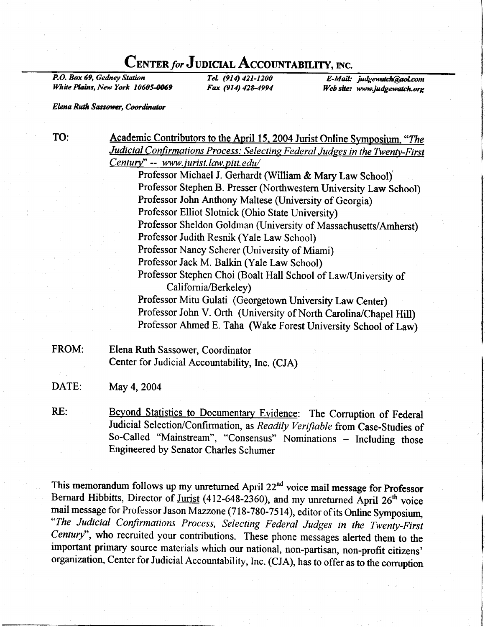# CENTER for JUDICIAL ACCOUNTABILITY, INC.

P.O. Box 69, Gedney Station White Plains, New York 10605-0069

TeL (914) 421-1200 Fax (914) 428-4994

E-Mail: judgewatch@aol.com Web site: www.judgewatch.org

Elena Ruth Sassower, Coordinator

TO:

Academic Contributors to the April 15, 2004 Jurist Online Symposium, "The Judicial Confirmations Process: Selecting Federal Judges in the Twenty-First  $Century" -- www.jurist.law.pitt.edu/$ 

Professor Michael J. Gerhardt (William & Mary Law School) Professor Stephen B. Presser (Northwestern University Law School) Professor John Anthony Maltese (University of Georgia) Professor Elliot Slotnick (Ohio State University) Professor Sheldon Goldman (University of Massachusetts/Amherst) Professor Judith Resnik (Yale Law School) Professor Nancy Scherer (University of Miami) Professor Jack M. Balkin (Yale Law School) Professor Stephen Choi (Boalt Hall School of Law/University of California/Berkeley) Professor Mitu Gulati (Georgetown University Law Center) Professor John V. Orth (University of North Carolina/Chapel Hill) Professor Ahmed E. Taha (Wake Forest University School of Law)

- FROM: Elena Ruth Sassower, Coordinator Center for Judicial Accountability, lnc. (CJA)
- DATE: May 4, 2004
- RE: Beyond Statistics to Documentary Evidence: The Corruption of Federal Judicial Selection/Confirmation, as Readily Verifiable from Case-Studies of So-Called "Mainstream", "Consensus" Nominations - Including those Engineered by Senator Charles Schumer

This memorandum follows up my unreturned April 22<sup>nd</sup> voice mail message for Professor Bernard Hibbitts, Director of Jurist (412-648-2360), and my unreturned April 26<sup>th</sup> voice mail message for Professor Jason Mazzone (718-780-7514), editor of its Online Symposium, "The Judicial Confirmations Process, Selecting Federal Judges in the Twenty-First Century'', who recruited your contributions. These phone messages alerted them to the important primary source materials which our national, non-partisan, non-profit citizens' organization, Center for Judicial Accountability, Inc. (CJA), has to offer as to the comrption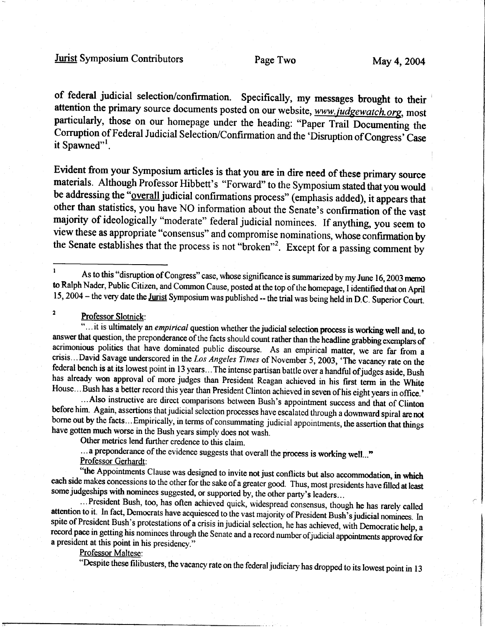# Jurist Symposium Contributors Page Two May 4, 2004

of federal judicial selection/confirmation. Specifically, my messages brought to their attention the primary source documents posted on our website, www.judgewatch.org, most particularly, those on our homepage under the heading: "Paper Trail Documenting the Corruption of Federal Judicial Selection/Confirmation and the 'Disruption of Congress' Case it Spawned"<sup>1</sup>.

Evident from your Symposium articles is that you are in dire need of these primary source materials. Although Professor Hibbett's "Forward" to the Symposium stated that you would be addressing the "overall judicial confirmations process" (emphasis added), it appears that other than statistics, you have NO information about the Senate's confirmation of the vast majority of ideologically "moderate" federal judicial nominees. If anything, you seem to view these as appropriate "consensus" and compromise nominations, whose confirmation by the Senate establishes that the process is not "broken"2. Except for a passing comment by

<sup>2</sup> Professor Slotnick:<br>"... it is ultimately an *empirical* question whether the judicial selection process is working well and, to<br>answer that question, the preponderance of the facts should count rather than the headlin acrimonious politics that have dominated public discourse. As an empirical matter, we are far from a crisis...David Savage underscored in the Los Angeles Times of November 5, 2003, 'The vacancy rate on the

federal bench is at its lowest point in 13 years... The intense partisan battle over a handful of judges aside, Bush<br>has already won approval of more judges than President Reagan achieved in his first term in the White<br>Hou

Other metrics lend further credence to this claim.

... a preponderance of the evidence suggests that overall the process is working well..."<br>Professor Gerhardt:<br>"the Appointments Clause was designed to invite not just conflicts but also accommodation, in which  $\mathbf{r}$ the Appointments Clause was designed to invite not just conflicts but also accommodation, in which each side makes concessions to the other for the sake of a greater good. Thus, most presidents have filled at least some judgeships with nominees suggested, or supported by, the other party's leaders...<br>...President Bush, too, has often achieved quick, widespread consensus, though he has rarely called

attention to it. In fact, Democrats have acquiesced to the vast majority of President Bush's judicial nominees. In spite of President Bush's protestations of a crisis in judicial selection, he has achieved, with Democratic record pace in getting his nominees through the Senate and a record number of judicial appointments approved for a president at this point in his presidency."

Professor Maltese:<br>"Despite these filibusters, the vacancy rate on the federal judiciary has dropped to its lowest point in 13

I As to this "disruption of Congress" case, whose significance is summarized by my June 16, 2003 memo to Ralph Nader, Public Citizen, and Common Cause, posted at the top of the homepage, I identified that on April 15, 2004 - the very date the Jurist Symposium was published -- the trial was being held in D.C. Superior Court.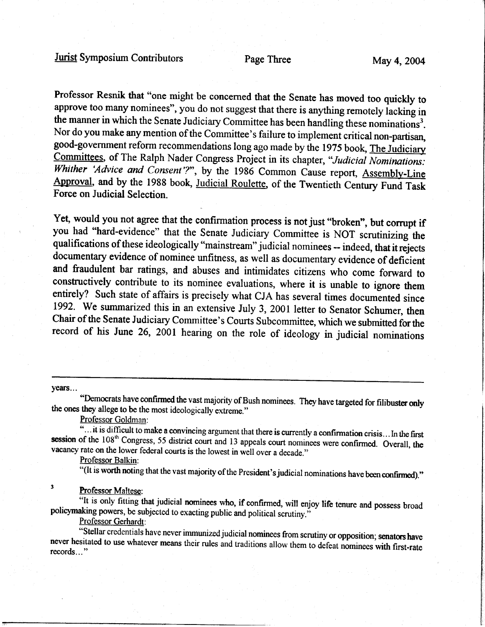Professor Resnik that "one might be concerned that the Senate has moved too quickly to approve too many nominees", you do not suggest that there is anything remotely lacking in the manner in which the Senate Judiciary Committee has been handling these nominations<sup>3</sup>. Nor do you make any mention of the Committee's failure to implement critical non-partisan, good-government reform recommendations long ago made by the 1975 book, The Judiciary Committees, of The Ralph Nader Congress Project in its chapter, "Judicial Nominations: Whither 'Advice and Consent'?", by the 1986 Common Cause report, Assembly-Line Approval, and by the 1988 book, Judicial Roulette, of the Twentieth Century Fund Task Force on Judicial Selection.

Yet, would you not agree that the confirmation process is not just "broken", but corrupt if you had "hard-evidence" that the Senate Judiciary Committee is NOT scrutinizing the qualifications of these ideologically "mainstream" judicial nominees -- indeed, that it rejects documentary evidence of nominee unfitness, as well as documentary evidence of deficient and fraudulent bar ratings, and abuses and intimidates citizens who come forward to constructively contribute to its nominee evaluations, where it is unable to ignore them entirely? Such state of affairs is precisely what CJA has several times documented since 1992. We summarized this in an extensive July 3, 2001 letter to Senator Schumer, then Chair of the Senate Judiciary Committee's Courts Subcommiffee, which we submitted forthe record of his June 26, 2001 hearing on the role of ideology in judicial nominations

years...

"Democrats have confirmed the vast majority of Bush nominees. They have targeted for filibuster only the ones they allege to be the most ideologically extreme."

 $\overline{\text{d}}$ ... it is difficult to make a convincing argument that there is currently a confirmation crisis... In the first session of the  $108<sup>th</sup>$  Congress, 55 district court and 13 appeals court nominees were confirme

"(It is worth noting that the vast majority of the President's judicial nominations have been confirmed)."

### <sup>3</sup> Professor Maltese:

policymaking powers, be subjected to exacting public and political scrutiny." "It is only fitting that judicial nominees who, if confirmed, will enjoy life tenure and possess broad policymaking powers, be subjected to exacting public and political scrutiny." -

Professor Gerhardt:<br>
"Stellar credentials have never immunized judicial nominees from scrutiny or opposition; senators have<br>
never hesitated to use whatever means their rules and traditions allow them to defeat nominees wi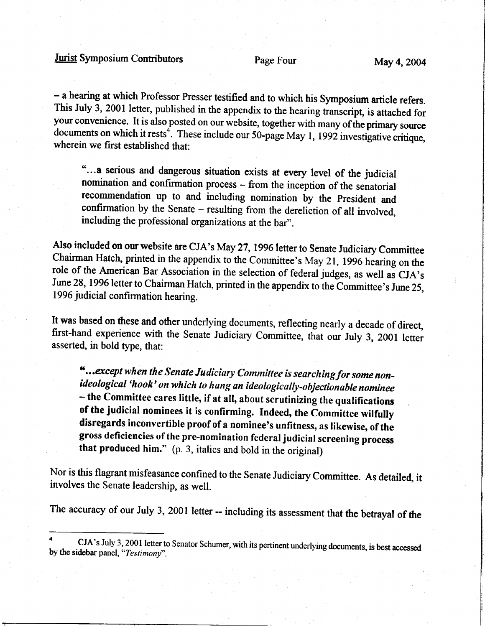- a hearing at which Professor Presser testified and to which his Symposium article refers. This July 3, 2001 letter, published in the appendix to the hearing transcript, is attached for your convenience. It is also posted on our website, together with many of the primary source documents on which it rests<sup>4</sup>. These include our 50-page May 1, 1992 investigative critique, wherein we first established that:

"...a serious and dangerous situation exists at every level of the judicial nomination and confirmation process - from the inception of the senatorial recommendation up to and including nomination by the President and confirmation by the Senate - resulting from the dereliction of all involved. including the professional organizations at the bar".

Also included on our website are CJA's May 27, 1996 letter to Senate Judiciary Committee Chairman Hatch, printed in the appendix to the Committee's May 21, 1996 hearing on the role of the American Bar Association in the selection of federal judges, as well as CJA's June 28, 1996 letter to Chairman Hatch, printed in the appendix to the Committee's June 25, 1996 judicial confirmation hearing.

It was based on these and other underlying documents, reflecting nearly a decade of direct, first-hand experience with the Senate Judiciary Committee, that our July 3, 2001 letter asserted, in bold type, that:

"...except when the Senate Judiciary Committee is searching for some nonideological 'hook' on which to hang an ideologically-objectionable nominee - the Committee cares little, if at all, about scrutinizing the qualifications of the judicial nominees it is confirming. Indeed, the Committee wilfully disregards inconvertible proof of a nominee's unfitness, as likewise, of the gross deficiencies of the pre-nomination federal judiciat screening process that produced him." (p. 3, italics and bold in the original)

Nor is this flagrant misfeasance confined to the Senate Judiciary Committee. As detailed, it involves the Senate leadership, as well.

The accuracy of our July 3, 2001 letter -- including its assessment that the betrayal of the

<sup>&</sup>lt;sup>4</sup> CJA's July 3, 2001 letter to Senator Schumer, with its pertinent underlying documents, is best accessed by the sidebar panel, "Testimony".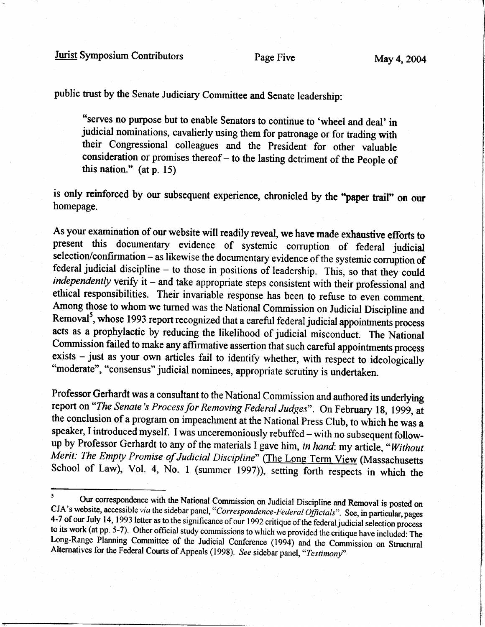public trust by the Senate Judiciary Committee and Senate leadership:

"seryes no purpose but to enable Senators to continue to 'wheel and deal' in judicial nominations, cavalierly using them for patronage or for trading with their Congressional colleagues and the President for other valuable consideration or promises thereof - to the lasting detriment of the People of this nation." (at p. 15)

is only reinforced by our subsequent experience, chronicled by the "paper trail" on our homepage.

As your examination of our website will readily reveal, we have made exhaustive efforts to present this documentary evidence of systemic corruption of federal judicial selection/confirmation - as likewise the documentary evidence of the systemic corruption of federal judicial discipline - to those in positions of leadership. This, so that they could independently verify it - and take appropriate steps consistent with their professional and ethical responsibilities. Their invariable response has been to refuse to even conrment. Among those to whom we turned was the National Commission on Judicial Discipline and Removal<sup>5</sup>, whose 1993 report recognized that a careful federal judicial appointments process acts as a prophylactic by reducing the likelihood of judicial misconduct. The National Commission failed to make any affirmative assertion that such careful appoinfinents process exists - just as your own articles fail to identify whether, with respect to ideologically "moderate", "consensus" judicial nominees, appropriate scrutiny is undertaken.

Professor Gerhardt was a consultant to the National Commission and authored its underlying report on "The Senate's Process for Removing Federal Judges". On February 18, 1999, at the conclusion of a program on impeachment at the National Press Club, to which he was a speaker, I introduced myself. I was unceremoniously rebuffed – with no subsequent follow-<br>up by Professor Gerhardt to any of the materials I gave him, in hand: my article, "Without Merit: The Empty Promise of Judicial Discipline" (The Long Term View (Massachusetts School of Law), Vol. 4, No. 1 (summer 1997)), setting forth respects in which the

<sup>&</sup>lt;sup>5</sup> Our correspondence with the National Commission on Judicial Discipline and Removal is posted on CJA's website, accessible *via* the sidebar panel, "*Correspondence-Federal Officials*". See, in particular, pages 4-7 of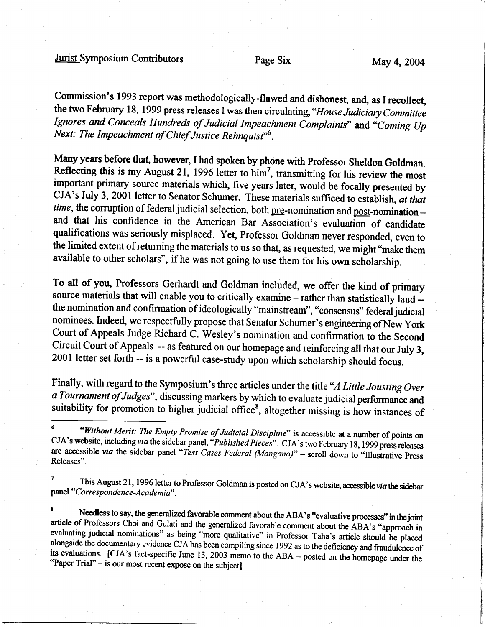Jurist Symposium Contributors Page Six May 4, 2004

Commission's 1993 report was methodologically-flawed and dishonest, and, as I recollect, the two February 18, 1999 press releases I was then circulating, "House Judiciary Committee Ignores and Conceals Hundreds of Judicial Impeachment Complaints" and "Coming Up Next: The Impeachment of Chief Justice Rehnquist"<sup>6</sup>.

Many years before that, however, I had spoken by phone with Professor Sheldon Goldman.<br>Reflecting this is my August 21, 1996 letter to him<sup>7</sup>, transmitting for his review the most important primary source materials which, five years later, would be focally presented by CJA's July 3, 2001 letter to Senator Schumer. These materials sufficed to establish, at that time, the corruption of federal judicial selection, both  $pre$ -nomination and  $post$ -nomination and that his confidence in the American Bar Association's evaluation of candidate qualifications was seriously misplaced. Yet, Professor Goldman never responded, even to the limited extent of returning the materials to us so that, as requested, we might "make them available to other scholars", if he was not going to use them for his own scholarship.

To all of you, Professors Gerhardt and Goldman included, we offer the kind of primary source materials that will enable you to critically examine - rather than statistically laud -the nomination and confirmation of ideologically "mainstream", "consensus" federal judicial nominees. Indeed, we respectfully propose that Senator Schumer's engineering of New York Court of Appeals Judge Richard C. Wesley's nomination and confirmation to the Second Circuit Court of Appeals -- as featured on our homepage and reinforcing all that our July 3, 2001 letter set forth -- is a powerful case-study upon which scholarship should focus.

Finally, with regard to the Symposium's three articles under the title "A Little Jousting Over" a Tournament of Judges", discussing markers by which to evaluate judicial performance and suitability for promotion to higher judicial office<sup>8</sup>, altogether missing is how instances of

This August 21, 1996 letter to Professor Goldman is posted on CJA's website, accessible *via* the sidebar panel " Correspondence-Ac ademia".

<sup>8</sup> Needless to say, the generalized favorable comment about the ABA's "evaluative processes" in the joint article of Professors Choi and Gulati and the generalized favorable comment about the ABA's "approach in evaluatin

<sup>&</sup>lt;sup>6</sup> "Without Merit: The Empty Promise of Judicial Discipline" is accessible at a number of points on CJA's website, including via the sidebar panel, "Published Pieces". CJA's two February 18, 1999 press releases are accessible via the sidebar panel "Test Cases-Federal (Mangano)" - scroll down to "Illustrative Press Releases".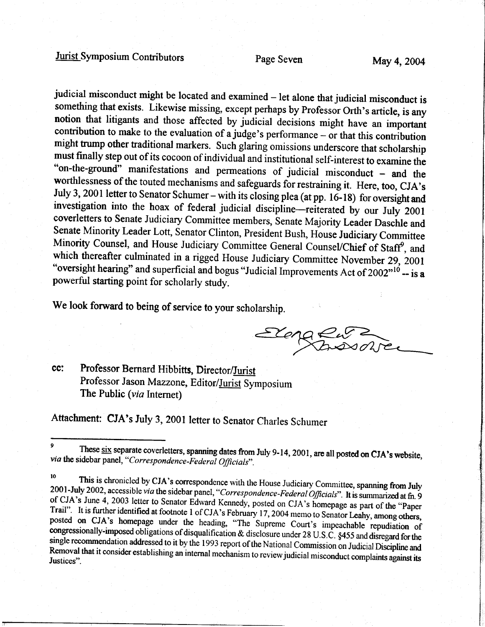# Jurist Symposium Contributors Page Seven May 4,2004

judicial misconduct might be located and examined – let alone that judicial misconduct is<br>something that exists. Likewise missing, except perhaps by Professor Orth's article, is any<br>notion that litigants and those affected  $\frac{1}{2}$  on-the-ground" must finally step out of its cocoon of individual and institutional self-interest to examine the<br>"on-the-ground" manifestations and permeations of judicial misconduct – and the<br>worthlessness of the touted mechanisms and sa July 3, 2001 letter to Senator Schumer – with its closing plea (at pp. 16-18) for oversight and<br>investigation into the hoax of federal judicial discipline—reiterated by our July 2001<br>coverletters to Senate Judiciary Commit "oversight hearing" and superficial and bogus "Judicial Improvements Act of  $2002^{0.10}$  -- is powerful starting point for scholarly study. which thereafter culminated in a rigged House Judiciary Committee November 29, 2001

We look forward to being of service to your scholarship.

Elena  $F_{\text{A}}$ 

cc: Professor Bernard Hibbitts, Director/Jurist Professor Jason Mazzone, Editor/Jurist Symposium The Public (*via* Internet)

Attachment: CJA's July 3, 2001 letter to Senator Charles Schumer

<sup>&</sup>lt;sup>9</sup> These  $\frac{six}{dx}$  separate coverletters, spanning dates from July 9-14, 2001, are all posted on CJA's website, *via* the sidebar panel, "Correspondence-Federal Officials".

<sup>&</sup>lt;sup>10</sup> This is chronicled by CJA's correspondence with the House Judiciary Committee, spanning from July 2001-July 2002, accessible *via* the sidebar panel, "Correspondence-Federal Officials". It is summarized at fn. 9 of CJ Trail". It is further identified at footnote 1 of CJA's February 17, 2004 memo to Senator Leahy, among others, posted on CJA's homepage under the heading, "The Supreme Court's impeachable repudiation of congressionally-imposed obligations of disqualification & disclosure under 28 U.S.C. §455 and disregard for the single recommendation addressed to it by the 1993 report of the National Commission on Judicial Discipline and Justices" Removal that it consider establishing an internal mechanism to review judicial misconduct complaints against its